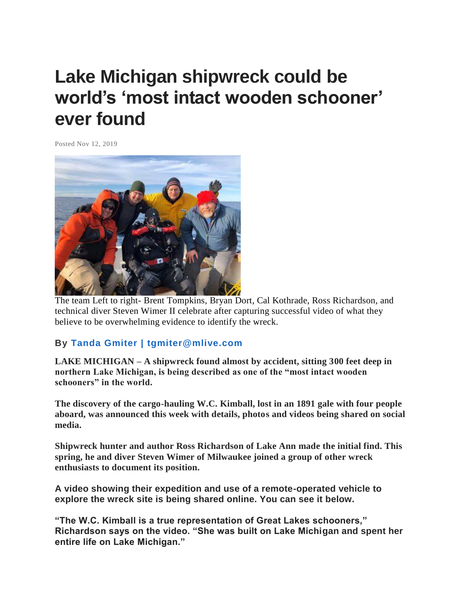## **Lake Michigan shipwreck could be world's 'most intact wooden schooner' ever found**

Posted Nov 12, 2019



The team Left to right- Brent Tompkins, Bryan Dort, Cal Kothrade, Ross Richardson, and technical diver Steven Wimer II celebrate after capturing successful video of what they believe to be overwhelming evidence to identify the wreck.

## **By [Tanda Gmiter | tgmiter@mlive.com](http://connect.mlive.com/staff/GRPtgmiter/posts.html)**

**LAKE MICHIGAN – A shipwreck found almost by accident, sitting 300 feet deep in northern Lake Michigan, is being described as one of the "most intact wooden schooners" in the world.**

**The discovery of the cargo-hauling W.C. Kimball, lost in an 1891 gale with four people aboard, was announced this week with details, photos and videos being shared on social media.**

**Shipwreck hunter and author Ross Richardson of Lake Ann made the initial find. This spring, he and diver Steven Wimer of Milwaukee joined a group of other wreck enthusiasts to document its position.**

**A video showing their expedition and use of a remote-operated vehicle to explore the wreck site is being shared online. You can see it below.**

**"The W.C. Kimball is a true representation of Great Lakes schooners," Richardson says on the video. "She was built on Lake Michigan and spent her entire life on Lake Michigan."**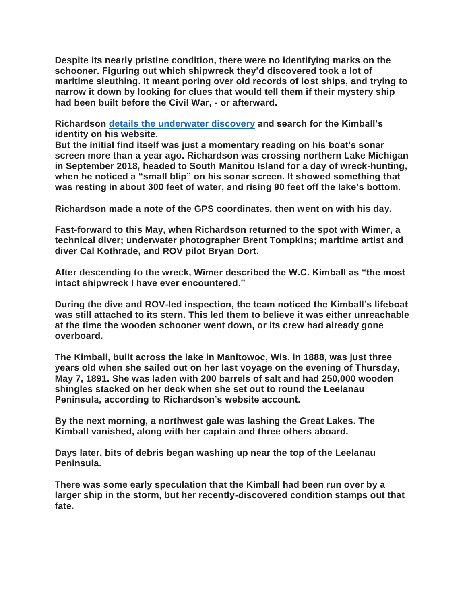**Despite its nearly pristine condition, there were no identifying marks on the schooner. Figuring out which shipwreck they'd discovered took a lot of maritime sleuthing. It meant poring over old records of lost ships, and trying to narrow it down by looking for clues that would tell them if their mystery ship had been built before the Civil War, - or afterward.**

**Richardson details the [underwater](https://michiganmysteries.com/w-c-kimball/) discovery and search for the Kimball's identity on his website.**

**But the initial find itself was just a momentary reading on his boat's sonar screen more than a year ago. Richardson was crossing northern Lake Michigan in September 2018, headed to South Manitou Island for a day of wreck-hunting, when he noticed a "small blip" on his sonar screen. It showed something that was resting in about 300 feet of water, and rising 90 feet off the lake's bottom.**

**Richardson made a note of the GPS coordinates, then went on with his day.**

**Fast-forward to this May, when Richardson returned to the spot with Wimer, a technical diver; underwater photographer Brent Tompkins; maritime artist and diver Cal Kothrade, and ROV pilot Bryan Dort.**

**After descending to the wreck, Wimer described the W.C. Kimball as "the most intact shipwreck I have ever encountered."**

**During the dive and ROV-led inspection, the team noticed the Kimball's lifeboat was still attached to its stern. This led them to believe it was either unreachable at the time the wooden schooner went down, or its crew had already gone overboard.**

**The Kimball, built across the lake in Manitowoc, Wis. in 1888, was just three years old when she sailed out on her last voyage on the evening of Thursday, May 7, 1891. She was laden with 200 barrels of salt and had 250,000 wooden shingles stacked on her deck when she set out to round the Leelanau Peninsula, according to Richardson's website account.**

**By the next morning, a northwest gale was lashing the Great Lakes. The Kimball vanished, along with her captain and three others aboard.**

**Days later, bits of debris began washing up near the top of the Leelanau Peninsula.**

**There was some early speculation that the Kimball had been run over by a larger ship in the storm, but her recently-discovered condition stamps out that fate.**